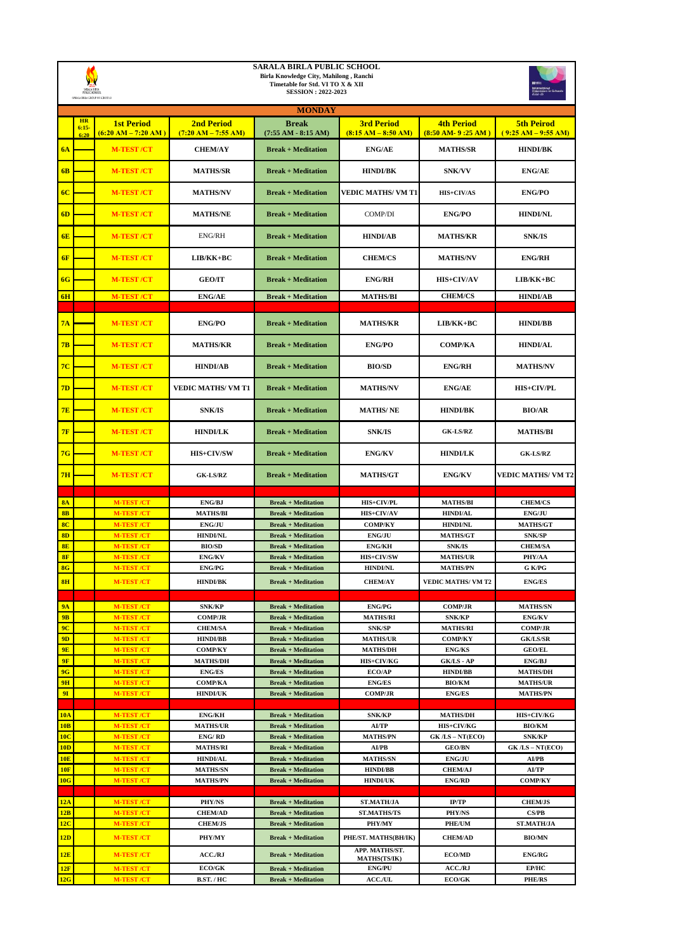|                             | SARALA BIRLA PUBLIC SCHOOL<br>Birla Knowledge City, Mahilong, Ranchi |                                            |                                                               |                                                        |                                            |                                          |                                            |
|-----------------------------|----------------------------------------------------------------------|--------------------------------------------|---------------------------------------------------------------|--------------------------------------------------------|--------------------------------------------|------------------------------------------|--------------------------------------------|
|                             |                                                                      |                                            | Timetable for Std. VI TO X & XII<br><b>SESSION: 2022-2023</b> |                                                        |                                            |                                          |                                            |
|                             |                                                                      |                                            |                                                               |                                                        |                                            |                                          |                                            |
| <b>MONDAY</b>               |                                                                      |                                            |                                                               |                                                        |                                            |                                          |                                            |
|                             | <b>HR</b><br>6:15<br>6:20                                            | <b>1st Period</b><br>$(6:20 AM - 7:20 AM)$ | <b>2nd Period</b><br>$(7:20$ AM $- 7:55$ AM)                  | <b>Break</b><br>$(7:55 AM - 8:15 AM)$                  | <b>3rd Period</b><br>$(8:15 AM - 8:50 AM)$ | <b>4th Period</b><br>$(8:50$ AM-9:25 AM) | <b>5th Peirod</b><br>$(9:25 AM - 9:55 AM)$ |
| 6A                          |                                                                      | <b>M-TEST/CT</b>                           | <b>CHEM/AY</b>                                                | <b>Break + Meditation</b>                              | <b>ENG/AE</b>                              | <b>MATHS/SR</b>                          | <b>HINDI/BK</b>                            |
| 6B                          |                                                                      | <b>M-TEST/CT</b>                           | <b>MATHS/SR</b>                                               | <b>Break + Meditation</b>                              | <b>HINDI/BK</b>                            | <b>SNK/VV</b>                            | <b>ENG/AE</b>                              |
| 6C                          |                                                                      | <b>M-TEST/CT</b>                           | <b>MATHS/NV</b>                                               | <b>Break + Meditation</b>                              | VEDIC MATHS/ VM T1                         | HIS+CIV/AS                               | <b>ENG/PO</b>                              |
| 6D                          |                                                                      | <b>M-TEST/CT</b>                           | <b>MATHS/NE</b>                                               | <b>Break + Meditation</b>                              | COMP/DI                                    | <b>ENG/PO</b>                            | <b>HINDI/NL</b>                            |
| 6E                          |                                                                      | <b>M-TEST/CT</b>                           | ENG/RH                                                        | <b>Break + Meditation</b>                              | <b>HINDI/AB</b>                            | <b>MATHS/KR</b>                          | <b>SNK/IS</b>                              |
| 6F                          |                                                                      | <b>M-TEST/CT</b>                           | $LIB/KK+BC$                                                   | <b>Break + Meditation</b>                              | <b>CHEM/CS</b>                             | <b>MATHS/NV</b>                          | <b>ENG/RH</b>                              |
| 6G                          |                                                                      | <b>M-TEST/CT</b>                           | <b>GEO/IT</b>                                                 | <b>Break + Meditation</b>                              | <b>ENG/RH</b>                              | <b>HIS+CIV/AV</b>                        | $LIB/KK+BC$                                |
| 6H                          |                                                                      | M-TEST/CT                                  | <b>ENG/AE</b>                                                 | <b>Break + Meditation</b>                              | <b>MATHS/BI</b>                            | <b>CHEM/CS</b>                           | <b>HINDI/AB</b>                            |
| 7A                          |                                                                      | <b>M-TEST/CT</b>                           | <b>ENG/PO</b>                                                 | <b>Break + Meditation</b>                              | <b>MATHS/KR</b>                            | $LIB/KK+BC$                              | <b>HINDI/BB</b>                            |
| 7B                          |                                                                      | <b>M-TEST/CT</b>                           | <b>MATHS/KR</b>                                               | <b>Break + Meditation</b>                              | <b>ENG/PO</b>                              | <b>COMP/KA</b>                           | <b>HINDI/AL</b>                            |
| 7 <sub>C</sub>              |                                                                      | <b>M-TEST/CT</b>                           | <b>HINDI/AB</b>                                               | <b>Break + Meditation</b>                              | <b>BIO/SD</b>                              | <b>ENG/RH</b>                            | <b>MATHS/NV</b>                            |
| 7D                          |                                                                      | <b>M-TEST/CT</b>                           | <b>VEDIC MATHS/ VM T1</b>                                     | <b>Break + Meditation</b>                              | <b>MATHS/NV</b>                            | <b>ENG/AE</b>                            | <b>HIS+CIV/PL</b>                          |
| 7E                          |                                                                      | <b>M-TEST/CT</b>                           | <b>SNK/IS</b>                                                 | <b>Break + Meditation</b>                              | <b>MATHS/NE</b>                            | <b>HINDI/BK</b>                          | <b>BIO/AR</b>                              |
| 7F                          |                                                                      | <b>M-TEST/CT</b>                           | <b>HINDI/LK</b>                                               | <b>Break + Meditation</b>                              | <b>SNK/IS</b>                              | <b>GK-LS/RZ</b>                          | <b>MATHS/BI</b>                            |
| 7 <sub>G</sub>              |                                                                      | <b>M-TEST/CT</b>                           | <b>HIS+CIV/SW</b>                                             | <b>Break + Meditation</b>                              | <b>ENG/KV</b>                              | <b>HINDI/LK</b>                          | <b>GK-LS/RZ</b>                            |
| 7H                          |                                                                      | <b>M-TEST/CT</b>                           | <b>GK-LS/RZ</b>                                               | <b>Break + Meditation</b>                              | <b>MATHS/GT</b>                            | <b>ENG/KV</b>                            | <b>VEDIC MATHS/ VM T2</b>                  |
|                             |                                                                      |                                            |                                                               |                                                        |                                            |                                          |                                            |
|                             |                                                                      |                                            |                                                               |                                                        |                                            |                                          |                                            |
| <b>8A</b><br>8B             |                                                                      | <b>M-TEST/CT</b><br><b>M-TEST/CT</b>       | ENG/BJ<br><b>MATHS/BI</b>                                     | <b>Break + Meditation</b><br><b>Break + Meditation</b> | HIS+CIV/PL<br>HIS+CIV/AV                   | <b>MATHS/BI</b><br><b>HINDI/AL</b>       | <b>CHEM/CS</b><br>ENG/JU                   |
| 8 <sup>C</sup>              |                                                                      | <b>M-TEST/CT</b>                           | ENG/JU                                                        | <b>Break + Meditation</b>                              | <b>COMP/KY</b>                             | <b>HINDI/NL</b>                          | <b>MATHS/GT</b>                            |
| 8D                          |                                                                      | <b>M-TEST/CT</b>                           | <b>HINDI/NL</b>                                               | <b>Break + Meditation</b>                              | <b>ENG/JU</b>                              | <b>MATHS/GT</b>                          | <b>SNK/SP</b>                              |
| 8E<br>8F                    |                                                                      | <b>M-TEST/CT</b>                           | <b>BIO/SD</b>                                                 | <b>Break + Meditation</b><br><b>Break + Meditation</b> | <b>ENG/KH</b>                              | SNK/IS<br><b>MATHS/UR</b>                | <b>CHEM/SA</b><br>PHY/AA                   |
| 8G                          |                                                                      | <b>M-TEST/CT</b><br>M-TEST /CT             | <b>ENG/KV</b><br>ENG/PG                                       | <b>Break + Meditation</b>                              | HIS+CIV/SW<br><b>HINDI/NL</b>              | <b>MATHS/PN</b>                          | G K/PG                                     |
| 8H                          |                                                                      | <b>M-TEST/CT</b>                           | <b>HINDI/BK</b>                                               | <b>Break + Meditation</b>                              | <b>CHEM/AY</b>                             | <b>VEDIC MATHS/ VM T2</b>                | <b>ENG/ES</b>                              |
|                             |                                                                      |                                            |                                                               |                                                        |                                            |                                          |                                            |
| <b>9A</b>                   |                                                                      | <b>M-TEST/CT</b>                           | <b>SNK/KP</b>                                                 | <b>Break + Meditation</b>                              | <b>ENG/PG</b>                              | <b>COMP/JR</b>                           | <b>MATHS/SN</b>                            |
| <b>9B</b><br>9 <sup>C</sup> |                                                                      | <b>M-TEST/CT</b>                           | <b>COMP/JR</b><br><b>CHEM/SA</b>                              | <b>Break + Meditation</b><br><b>Break + Meditation</b> | <b>MATHS/RI</b><br><b>SNK/SP</b>           | <b>SNK/KP</b>                            | <b>ENG/KV</b><br><b>COMP/JR</b>            |
| 9D                          |                                                                      | <b>M-TEST/CT</b><br><b>M-TEST/CT</b>       | <b>HINDI/BB</b>                                               | <b>Break + Meditation</b>                              | <b>MATHS/UR</b>                            | <b>MATHS/RI</b><br><b>COMP/KY</b>        | <b>GK/LS/SR</b>                            |
| 9E                          |                                                                      | <b>M-TEST/CT</b>                           | <b>COMP/KY</b>                                                | <b>Break + Meditation</b>                              | <b>MATHS/DH</b>                            | <b>ENG/KS</b>                            | <b>GEO/EL</b>                              |
| 9F                          |                                                                      | <b>M-TEST/CT</b>                           | <b>MATHS/DH</b>                                               | <b>Break + Meditation</b>                              | HIS+CIV/KG                                 | GK/LS - AP                               | ENG/BJ                                     |
| 9G                          |                                                                      | <b>M-TEST/CT</b>                           | <b>ENG/ES</b>                                                 | <b>Break + Meditation</b>                              | ECO/AP                                     | <b>HINDI/BB</b>                          | <b>MATHS/DH</b>                            |
| 9H<br>9I                    |                                                                      | <b>M-TEST/CT</b><br><b>M-TEST/CT</b>       | <b>COMP/KA</b><br><b>HINDI/UK</b>                             | <b>Break + Meditation</b><br><b>Break + Meditation</b> | <b>ENG/ES</b><br><b>COMP/JR</b>            | <b>BIO/KM</b><br><b>ENG/ES</b>           | <b>MATHS/UR</b><br><b>MATHS/PN</b>         |
|                             |                                                                      |                                            |                                                               |                                                        |                                            |                                          |                                            |
| <b>10A</b>                  |                                                                      | <b>M-TEST/CT</b>                           | <b>ENG/KH</b>                                                 | <b>Break + Meditation</b>                              | <b>SNK/KP</b>                              | <b>MATHS/DH</b>                          | HIS+CIV/KG                                 |
| 10B                         |                                                                      | <b>M-TEST/CT</b>                           | <b>MATHS/UR</b>                                               | <b>Break + Meditation</b>                              | AI/TP                                      | HIS+CIV/KG                               | <b>BIO/KM</b>                              |
| 10 <sub>C</sub>             |                                                                      | <b>M-TEST/CT</b>                           | ENG/RD                                                        | <b>Break + Meditation</b>                              | <b>MATHS/PN</b>                            | <b>GK/LS-NT(ECO)</b>                     | <b>SNK/KP</b>                              |
| 10D<br>10E                  |                                                                      | <b>M-TEST/CT</b><br><b>M-TEST/CT</b>       | <b>MATHS/RI</b><br><b>HINDI/AL</b>                            | <b>Break + Meditation</b><br><b>Break + Meditation</b> | AI/PB<br><b>MATHS/SN</b>                   | <b>GEO/BN</b><br><b>ENG/JU</b>           | GK/LS-NT(ECO)<br>AI/PB                     |
| 10F                         |                                                                      | <b>M-TEST/CT</b>                           | <b>MATHS/SN</b>                                               | <b>Break + Meditation</b>                              | <b>HINDI/BB</b>                            | <b>CHEM/AJ</b>                           | AI/TP                                      |
| 10G                         |                                                                      | <b>M-TEST/CT</b>                           | <b>MATHS/PN</b>                                               | <b>Break + Meditation</b>                              | <b>HINDI/UK</b>                            | <b>ENG/RD</b>                            | <b>COMP/KY</b>                             |
|                             |                                                                      |                                            |                                                               |                                                        |                                            |                                          |                                            |
| 12A                         |                                                                      | <b>M-TEST/CT</b>                           | PHY/NS                                                        | <b>Break + Meditation</b>                              | <b>ST.MATH/JA</b>                          | IP/TP                                    | <b>CHEM/JS</b>                             |
| 12B<br>12C                  |                                                                      | <b>M-TEST/CT</b><br><b>M-TEST/CT</b>       | <b>CHEM/AD</b><br><b>CHEM/JS</b>                              | <b>Break + Meditation</b><br><b>Break + Meditation</b> | <b>ST.MATHS/TS</b><br>PHY/MY               | <b>PHY/NS</b><br><b>PHE/UM</b>           | <b>CS/PB</b><br><b>ST.MATH/JA</b>          |
| 12D                         |                                                                      | <b>M-TEST/CT</b>                           | PHY/MY                                                        | <b>Break + Meditation</b>                              | PHE/ST. MATHS(BH/IK)                       | <b>CHEM/AD</b>                           | <b>BIO/MN</b>                              |
| 12E                         |                                                                      | <b>M-TEST/CT</b>                           | ACC. / RJ                                                     | <b>Break + Meditation</b>                              | APP. MATHS/ST.<br><b>MATHS(TS/IK)</b>      | <b>ECO/MD</b>                            | <b>ENG/RG</b>                              |
| 12F                         |                                                                      | <b>M-TEST/CT</b>                           | ECO/GK                                                        | <b>Break + Meditation</b>                              | <b>ENG/PU</b>                              | ACC./RJ                                  | EP/HC                                      |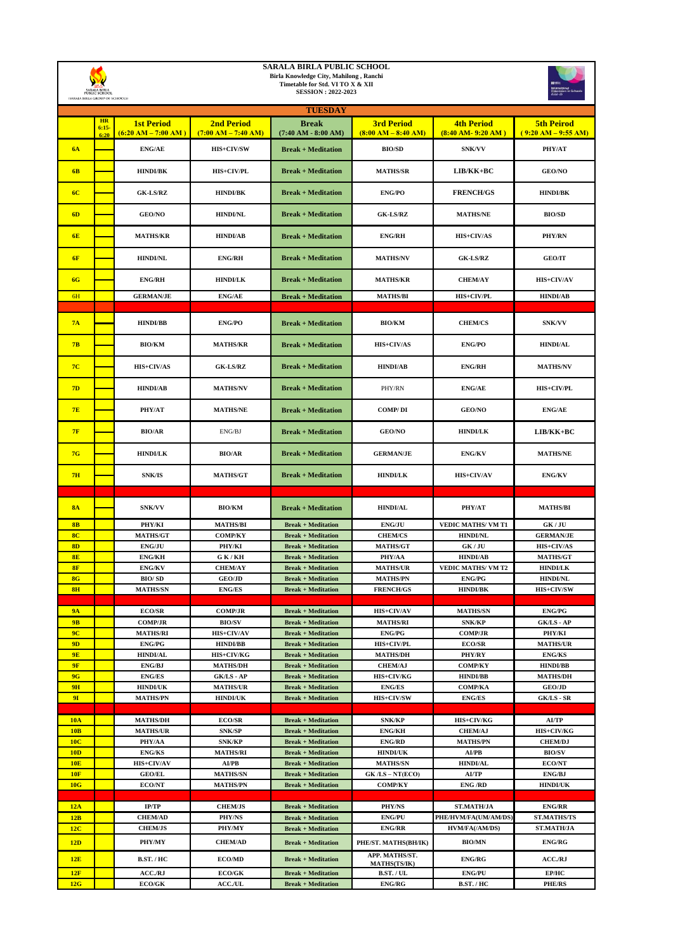|                      | <b>SARALA BIRLA PUBLIC SCHOOL</b><br>Birla Knowledge City, Mahilong, Ranchi<br>Timetable for Std. VI TO X & XII |                                  |                                   |                                                        |                                        |                                              |                                  |  |
|----------------------|-----------------------------------------------------------------------------------------------------------------|----------------------------------|-----------------------------------|--------------------------------------------------------|----------------------------------------|----------------------------------------------|----------------------------------|--|
|                      |                                                                                                                 | SESSION: 2022-2023               |                                   |                                                        |                                        |                                              |                                  |  |
|                      | <b>HR</b>                                                                                                       | <b>1st Period</b>                | <b>2nd Period</b>                 | <b>TUESDAY</b><br><b>Break</b>                         | <b>3rd Period</b>                      | <b>4th Period</b>                            | <b>5th Peirod</b>                |  |
|                      | $6:15-$<br>6:20                                                                                                 | $(6:20 AM - 7:00 AM)$            | $(7:00 AM - 7:40 AM)$             | $(7:40 AM - 8:00 AM)$                                  | $(8:00 AM - 8:40 AM)$                  | $(8:40$ AM-9:20 AM)                          | $(9:20 AM - 9:55 AM)$            |  |
| <b>6A</b>            |                                                                                                                 | <b>ENG/AE</b>                    | HIS+CIV/SW                        | <b>Break + Meditation</b>                              | <b>BIO/SD</b>                          | SNK/VV                                       | PHY/AT                           |  |
| 6B                   |                                                                                                                 | <b>HINDI/BK</b>                  | HIS+CIV/PL                        | <b>Break + Meditation</b>                              | <b>MATHS/SR</b>                        | $LIB/KK+BC$                                  | <b>GEO/NO</b>                    |  |
| 6C                   |                                                                                                                 | <b>GK-LS/RZ</b>                  | <b>HINDI/BK</b>                   | <b>Break + Meditation</b>                              | <b>ENG/PO</b>                          | <b>FRENCH/GS</b>                             | <b>HINDI/BK</b>                  |  |
| 6D                   |                                                                                                                 | <b>GEO/NO</b>                    | <b>HINDI/NL</b>                   | <b>Break + Meditation</b>                              | <b>GK-LS/RZ</b>                        | <b>MATHS/NE</b>                              | <b>BIO/SD</b>                    |  |
| 6E                   |                                                                                                                 | <b>MATHS/KR</b>                  | <b>HINDI/AB</b>                   | <b>Break + Meditation</b>                              | <b>ENG/RH</b>                          | HIS+CIV/AS                                   | PHY/RN                           |  |
| 6F                   |                                                                                                                 | <b>HINDI/NL</b>                  | <b>ENG/RH</b>                     | <b>Break + Meditation</b>                              | <b>MATHS/NV</b>                        | <b>GK-LS/RZ</b>                              | <b>GEO/IT</b>                    |  |
| 6G                   |                                                                                                                 | <b>ENG/RH</b>                    | <b>HINDI/LK</b>                   | <b>Break + Meditation</b>                              | <b>MATHS/KR</b>                        | <b>CHEM/AY</b>                               | <b>HIS+CIV/AV</b>                |  |
| 6H                   |                                                                                                                 | <b>GERMAN/JE</b>                 | <b>ENG/AE</b>                     | <b>Break + Meditation</b>                              | <b>MATHS/BI</b>                        | <b>HIS+CIV/PL</b>                            | <b>HINDI/AB</b>                  |  |
| 7A                   |                                                                                                                 | <b>HINDI/BB</b>                  | <b>ENG/PO</b>                     | <b>Break + Meditation</b>                              | <b>BIO/KM</b>                          | <b>CHEM/CS</b>                               | SNK/VV                           |  |
| 7B                   |                                                                                                                 | <b>BIO/KM</b>                    | <b>MATHS/KR</b>                   | <b>Break + Meditation</b>                              | HIS+CIV/AS                             | <b>ENG/PO</b>                                | <b>HINDI/AL</b>                  |  |
| 7 <sup>C</sup>       |                                                                                                                 | HIS+CIV/AS                       | <b>GK-LS/RZ</b>                   | <b>Break + Meditation</b>                              | <b>HINDI/AB</b>                        | <b>ENG/RH</b>                                | <b>MATHS/NV</b>                  |  |
| 7D                   |                                                                                                                 | <b>HINDI/AB</b>                  | <b>MATHS/NV</b>                   | <b>Break + Meditation</b>                              | PHY/RN                                 | <b>ENG/AE</b>                                | HIS+CIV/PL                       |  |
| 7E                   |                                                                                                                 | PHY/AT                           | <b>MATHS/NE</b>                   | <b>Break + Meditation</b>                              | <b>COMP/DI</b>                         | <b>GEO/NO</b>                                | <b>ENG/AE</b>                    |  |
| 7F                   |                                                                                                                 | <b>BIO/AR</b>                    | ENG/BJ                            | <b>Break + Meditation</b>                              | <b>GEO/NO</b>                          | <b>HINDI/LK</b>                              | $LIB/KK+BC$                      |  |
| 7 <sub>G</sub>       |                                                                                                                 | <b>HINDI/LK</b>                  | <b>BIO/AR</b>                     | <b>Break + Meditation</b>                              | <b>GERMAN/JE</b>                       | <b>ENG/KV</b>                                | <b>MATHS/NE</b>                  |  |
| 7H                   |                                                                                                                 | SNK/IS                           | <b>MATHS/GT</b>                   | <b>Break + Meditation</b>                              | <b>HINDI/LK</b>                        | HIS+CIV/AV                                   | <b>ENG/KV</b>                    |  |
|                      |                                                                                                                 |                                  |                                   |                                                        |                                        |                                              |                                  |  |
| <b>8A</b>            |                                                                                                                 | <b>SNK/VV</b>                    | <b>BIO/KM</b>                     | <b>Break + Meditation</b>                              | <b>HINDI/AL</b>                        | PHY/AT                                       | <b>MATHS/BI</b>                  |  |
| 8B<br>8 <sup>C</sup> |                                                                                                                 | PHY/KI<br><b>MATHS/GT</b>        | <b>MATHS/BI</b><br><b>COMP/KY</b> | <b>Break + Meditation</b><br><b>Break + Meditation</b> | ENG/JU<br><b>CHEM/CS</b>               | <b>VEDIC MATHS/ VM T1</b><br><b>HINDI/NL</b> | GK/JU<br><b>GERMAN/JE</b>        |  |
| 8D                   |                                                                                                                 | ENG/JU                           | PHY/KI                            | <b>Break + Meditation</b>                              | <b>MATHS/GT</b>                        | GK/JU                                        | HIS+CIV/AS                       |  |
| 8E                   |                                                                                                                 | <b>ENG/KH</b>                    | GK/KH                             | <b>Break + Meditation</b>                              | PHY/AA                                 | <b>HINDI/AB</b>                              | <b>MATHS/GT</b>                  |  |
| 8F                   |                                                                                                                 | <b>ENG/KV</b>                    | <b>CHEM/AY</b>                    | <b>Break + Meditation</b>                              | <b>MATHS/UR</b>                        | VEDIC MATHS/ VM T2                           | <b>HINDI/LK</b>                  |  |
| 8G<br>8H             |                                                                                                                 | <b>BIO/SD</b><br><b>MATHS/SN</b> | <b>GEO/JD</b><br><b>ENG/ES</b>    | <b>Break + Meditation</b><br><b>Break + Meditation</b> | <b>MATHS/PN</b><br><b>FRENCH/GS</b>    | <b>ENG/PG</b><br><b>HINDI/BK</b>             | <b>HINDI/NL</b><br>HIS+CIV/SW    |  |
|                      |                                                                                                                 |                                  |                                   |                                                        |                                        |                                              |                                  |  |
| <b>9A</b>            |                                                                                                                 | <b>ECO/SR</b>                    | <b>COMP/JR</b>                    | <b>Break + Meditation</b>                              | HIS+CIV/AV                             | <b>MATHS/SN</b>                              | <b>ENG/PG</b>                    |  |
| 9B                   |                                                                                                                 | <b>COMP/JR</b>                   | <b>BIO/SV</b>                     | <b>Break + Meditation</b>                              | <b>MATHS/RI</b>                        | <b>SNK/KP</b>                                | <b>GK/LS - AP</b>                |  |
| 9 <sub>C</sub><br>9D |                                                                                                                 | <b>MATHS/RI</b>                  | HIS+CIV/AV<br><b>HINDI/BB</b>     | <b>Break + Meditation</b>                              | <b>ENG/PG</b>                          | <b>COMP/JR</b>                               | PHY/KI                           |  |
| <b>9E</b>            |                                                                                                                 | <b>ENG/PG</b><br><b>HINDI/AL</b> | HIS+CIV/KG                        | <b>Break + Meditation</b><br><b>Break + Meditation</b> | HIS+CIV/PL<br><b>MATHS/DH</b>          | <b>ECO/SR</b><br>PHY/RY                      | <b>MATHS/UR</b><br><b>ENG/KS</b> |  |
| 9F                   |                                                                                                                 | ENG/BJ                           | <b>MATHS/DH</b>                   | <b>Break + Meditation</b>                              | <b>CHEM/AJ</b>                         | <b>COMP/KY</b>                               | <b>HINDI/BB</b>                  |  |
| 9G                   |                                                                                                                 | <b>ENG/ES</b>                    | GK/LS - AP                        | <b>Break + Meditation</b>                              | HIS+CIV/KG                             | <b>HINDI/BB</b>                              | <b>MATHS/DH</b>                  |  |
| 9H                   |                                                                                                                 | <b>HINDI/UK</b>                  | <b>MATHS/UR</b>                   | <b>Break + Meditation</b>                              | <b>ENG/ES</b>                          | <b>COMP/KA</b>                               | <b>GEO/JD</b>                    |  |
| 9I                   |                                                                                                                 | <b>MATHS/PN</b>                  | <b>HINDI/UK</b>                   | <b>Break + Meditation</b>                              | HIS+CIV/SW                             | <b>ENG/ES</b>                                | GK/LS - SR                       |  |
| <b>10A</b>           |                                                                                                                 | <b>MATHS/DH</b>                  | <b>ECO/SR</b>                     | <b>Break + Meditation</b>                              | <b>SNK/KP</b>                          | HIS+CIV/KG                                   | AI/TP                            |  |
| 10B                  |                                                                                                                 | <b>MATHS/UR</b>                  | <b>SNK/SP</b>                     | <b>Break + Meditation</b>                              | <b>ENG/KH</b>                          | <b>CHEM/AJ</b>                               | HIS+CIV/KG                       |  |
| 10C                  |                                                                                                                 | PHY/AA                           | <b>SNK/KP</b>                     | <b>Break + Meditation</b>                              | <b>ENG/RD</b>                          | <b>MATHS/PN</b>                              | <b>CHEM/DJ</b>                   |  |
| 10D                  |                                                                                                                 | <b>ENG/KS</b>                    | <b>MATHS/RI</b>                   | <b>Break + Meditation</b>                              | <b>HINDI/UK</b>                        | AI/PB                                        | <b>BIO/SV</b>                    |  |
| 10E                  |                                                                                                                 | HIS+CIV/AV                       | AI/PB                             | <b>Break + Meditation</b>                              | <b>MATHS/SN</b>                        | <b>HINDI/AL</b>                              | <b>ECO/NT</b>                    |  |
| 10F<br>10G           |                                                                                                                 | <b>GEO/EL</b>                    | <b>MATHS/SN</b>                   | <b>Break + Meditation</b><br><b>Break + Meditation</b> | $GK/LS - NT(ECO)$                      | AI/TP                                        | ENG/BJ                           |  |
|                      |                                                                                                                 | <b>ECO/NT</b>                    | <b>MATHS/PN</b>                   |                                                        | <b>COMP/KY</b>                         | <b>ENG/RD</b>                                | <b>HINDI/UK</b>                  |  |
| 12A                  |                                                                                                                 | IP/TP                            | <b>CHEM/JS</b>                    | <b>Break + Meditation</b>                              | PHY/NS                                 | <b>ST.MATH/JA</b>                            | <b>ENG/RR</b>                    |  |
| 12B                  |                                                                                                                 | <b>CHEM/AD</b>                   | PHY/NS                            | <b>Break + Meditation</b>                              | <b>ENG/PU</b>                          | PHE/HVM/FA(UM/AM/DS                          | <b>ST.MATHS/TS</b>               |  |
| 12C                  |                                                                                                                 | <b>CHEM/JS</b>                   | PHY/MY                            | <b>Break + Meditation</b>                              | <b>ENG/RR</b>                          | HVM/FA(/AM/DS)                               | <b>ST.MATH/JA</b>                |  |
| 12D                  |                                                                                                                 | PHY/MY                           | <b>CHEM/AD</b>                    | <b>Break + Meditation</b>                              | PHE/ST. MATHS(BH/IK)<br>APP. MATHS/ST. | <b>BIO/MN</b>                                | <b>ENG/RG</b>                    |  |
| 12E                  |                                                                                                                 | <b>B.ST./HC</b>                  | <b>ECO/MD</b>                     | <b>Break + Meditation</b>                              | MATHS(TS/IK)                           | <b>ENG/RG</b>                                | ACC./RJ                          |  |
| 12F                  |                                                                                                                 | ACC./RJ                          | ECO/GK                            | <b>Break + Meditation</b>                              | <b>B.ST. / UL</b>                      | <b>ENG/PU</b>                                | EP/HC                            |  |
| 12G                  |                                                                                                                 | ECO/GK                           | ACC./UL                           | <b>Break + Meditation</b>                              | <b>ENG/RG</b>                          | <b>B.ST. / HC</b>                            | <b>PHE/RS</b>                    |  |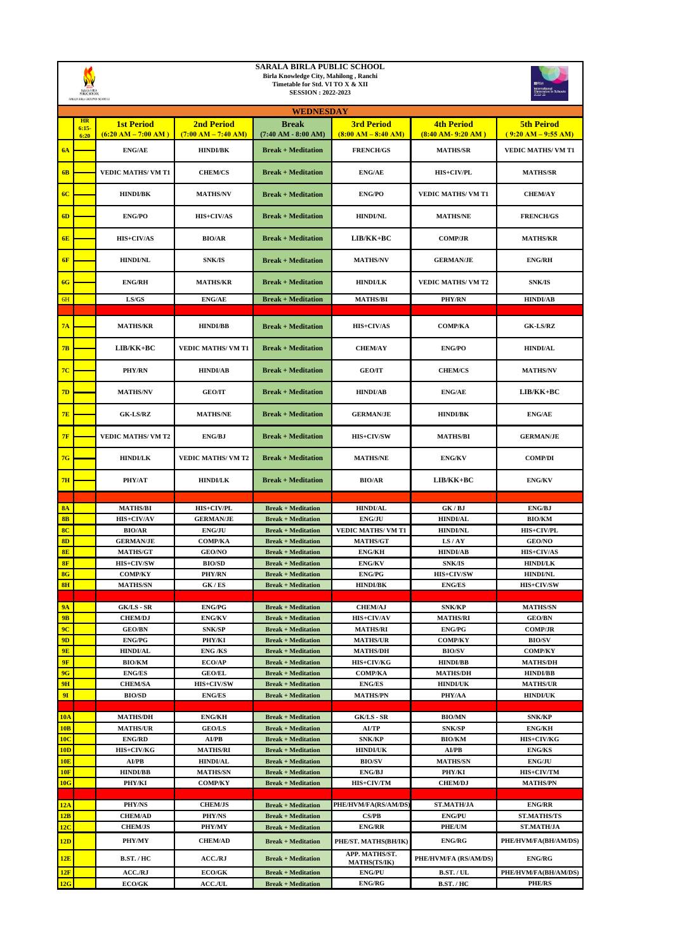| <b>SARALA BIRLA PUBLIC SCHOOL</b> |                                 |                                            |                                                                            |                                                        |                                            |                                          |                                            |  |  |
|-----------------------------------|---------------------------------|--------------------------------------------|----------------------------------------------------------------------------|--------------------------------------------------------|--------------------------------------------|------------------------------------------|--------------------------------------------|--|--|
|                                   |                                 |                                            | Birla Knowledge City, Mahilong, Ranchi<br>Timetable for Std. VI TO X & XII |                                                        |                                            |                                          |                                            |  |  |
|                                   | (SARALA SIRLA GROUP OF SCHOOLS) |                                            |                                                                            | <b>SESSION: 2022-2023</b>                              |                                            |                                          |                                            |  |  |
|                                   | WEDNESDAY                       |                                            |                                                                            |                                                        |                                            |                                          |                                            |  |  |
|                                   | <b>HR</b><br>$6:15-$<br>6:20    | <b>1st Period</b><br>$(6:20 AM - 7:00 AM)$ | <b>2nd Period</b><br>$(7:00 AM - 7:40 AM)$                                 | <b>Break</b><br>$(7:40 AM - 8:00 AM)$                  | <b>3rd Period</b><br>$(8:00 AM - 8:40 AM)$ | <b>4th Period</b><br>$(8:40$ AM-9:20 AM) | <b>5th Peirod</b><br>$(9:20 AM - 9:55 AM)$ |  |  |
| <b>6A</b>                         |                                 | <b>ENG/AE</b>                              | <b>HINDI/BK</b>                                                            | <b>Break + Meditation</b>                              | <b>FRENCH/GS</b>                           | <b>MATHS/SR</b>                          | <b>VEDIC MATHS/ VM T1</b>                  |  |  |
| 6B                                |                                 | <b>VEDIC MATHS/ VM T1</b>                  | <b>CHEM/CS</b>                                                             | <b>Break + Meditation</b>                              | <b>ENG/AE</b>                              | <b>HIS+CIV/PL</b>                        | <b>MATHS/SR</b>                            |  |  |
| 6C                                |                                 | <b>HINDI/BK</b>                            | <b>MATHS/NV</b>                                                            | <b>Break + Meditation</b>                              | <b>ENG/PO</b>                              | <b>VEDIC MATHS/ VM T1</b>                | <b>CHEM/AY</b>                             |  |  |
| 6D                                |                                 | <b>ENG/PO</b>                              | <b>HIS+CIV/AS</b>                                                          | <b>Break + Meditation</b>                              | <b>HINDI/NL</b>                            | <b>MATHS/NE</b>                          | <b>FRENCH/GS</b>                           |  |  |
| <b>6E</b>                         |                                 | <b>HIS+CIV/AS</b>                          | <b>BIO/AR</b>                                                              | <b>Break + Meditation</b>                              | $LIB/KK+BC$                                | <b>COMP/JR</b>                           | <b>MATHS/KR</b>                            |  |  |
| 6F                                |                                 | <b>HINDI/NL</b>                            | <b>SNK/IS</b>                                                              | <b>Break + Meditation</b>                              | <b>MATHS/NV</b>                            | <b>GERMAN/JE</b>                         | <b>ENG/RH</b>                              |  |  |
| 6G                                |                                 | <b>ENG/RH</b>                              | <b>MATHS/KR</b>                                                            | <b>Break + Meditation</b>                              | <b>HINDI/LK</b>                            | <b>VEDIC MATHS/ VM T2</b>                | SNK/IS                                     |  |  |
| 6H                                |                                 | LS/GS                                      | <b>ENG/AE</b>                                                              | <b>Break + Meditation</b>                              | <b>MATHS/BI</b>                            | PHY/RN                                   | <b>HINDI/AB</b>                            |  |  |
|                                   |                                 |                                            |                                                                            |                                                        |                                            |                                          |                                            |  |  |
| <b>7A</b>                         |                                 | <b>MATHS/KR</b>                            | <b>HINDI/BB</b>                                                            | <b>Break + Meditation</b>                              | <b>HIS+CIV/AS</b>                          | <b>COMP/KA</b>                           | <b>GK-LS/RZ</b>                            |  |  |
| 7B                                |                                 | $LIB/KK+BC$                                | <b>VEDIC MATHS/ VM T1</b>                                                  | <b>Break + Meditation</b>                              | <b>CHEM/AY</b>                             | <b>ENG/PO</b>                            | <b>HINDI/AL</b>                            |  |  |
| 7 <sub>C</sub>                    |                                 | <b>PHY/RN</b>                              | <b>HINDI/AB</b>                                                            | <b>Break + Meditation</b>                              | <b>GEO/IT</b>                              | <b>CHEM/CS</b>                           | <b>MATHS/NV</b>                            |  |  |
| 7D                                |                                 | <b>MATHS/NV</b>                            | <b>GEO/IT</b>                                                              | <b>Break + Meditation</b>                              | <b>HINDI/AB</b>                            | <b>ENG/AE</b>                            | $LIB/KK+BC$                                |  |  |
| 7E                                |                                 | <b>GK-LS/RZ</b>                            | <b>MATHS/NE</b>                                                            | <b>Break + Meditation</b>                              | <b>GERMAN/JE</b>                           | <b>HINDI/BK</b>                          | <b>ENG/AE</b>                              |  |  |
| 7F                                |                                 | <b>VEDIC MATHS/ VM T2</b>                  | <b>ENG/BJ</b>                                                              | <b>Break + Meditation</b>                              | HIS+CIV/SW                                 | <b>MATHS/BI</b>                          | <b>GERMAN/JE</b>                           |  |  |
| 7G                                |                                 | <b>HINDI/LK</b>                            | <b>VEDIC MATHS/ VM T2</b>                                                  | <b>Break + Meditation</b>                              | <b>MATHS/NE</b>                            | <b>ENG/KV</b>                            | <b>COMP/DI</b>                             |  |  |
| 7H                                |                                 | PHY/AT                                     | <b>HINDI/LK</b>                                                            | <b>Break + Meditation</b>                              | <b>BIO/AR</b>                              | $LIB/KK+BC$                              | <b>ENG/KV</b>                              |  |  |
| <b>8A</b>                         |                                 | <b>MATHS/BI</b>                            | HIS+CIV/PL                                                                 | <b>Break + Meditation</b>                              | <b>HINDI/AL</b>                            | GK/BJ                                    | ENG/BJ                                     |  |  |
| 8B                                |                                 | HIS+CIV/AV                                 | <b>GERMAN/JE</b>                                                           | <b>Break + Meditation</b>                              | <b>ENG/JU</b>                              | <b>HINDI/AL</b>                          | <b>BIO/KM</b>                              |  |  |
| 8 <sup>C</sup>                    |                                 | <b>BIO/AR</b>                              | <b>ENG/JU</b>                                                              | <b>Break + Meditation</b>                              | <b>VEDIC MATHS/ VM T1</b>                  | <b>HINDI/NL</b>                          | HIS+CIV/PL                                 |  |  |
| 8D                                |                                 | <b>GERMAN/JE</b>                           | <b>COMP/KA</b>                                                             | <b>Break + Meditation</b>                              | <b>MATHS/GT</b>                            | LS/AY                                    | <b>GEO/NO</b>                              |  |  |
| 8E<br>8F                          |                                 | <b>MATHS/GT</b><br>HIS+CIV/SW              | <b>GEO/NO</b><br><b>BIO/SD</b>                                             | <b>Break + Meditation</b><br><b>Break + Meditation</b> | <b>ENG/KH</b><br><b>ENG/KV</b>             | <b>HINDI/AB</b><br><b>SNK/IS</b>         | <b>HIS+CIV/AS</b><br><b>HINDI/LK</b>       |  |  |
| 8G                                |                                 | <b>COMP/KY</b>                             | <b>PHY/RN</b>                                                              | <b>Break + Meditation</b>                              | <b>ENG/PG</b>                              | <b>HIS+CIV/SW</b>                        | <b>HINDI/NL</b>                            |  |  |
| 8H                                |                                 | <b>MATHS/SN</b>                            | GK / ES                                                                    | <b>Break + Meditation</b>                              | <b>HINDI/BK</b>                            | <b>ENG/ES</b>                            | HIS+CIV/SW                                 |  |  |
| <b>9A</b>                         |                                 | GK/LS - SR                                 | <b>ENG/PG</b>                                                              | <b>Break + Meditation</b>                              | <b>CHEM/AJ</b>                             | <b>SNK/KP</b>                            | <b>MATHS/SN</b>                            |  |  |
| 9B                                |                                 | <b>CHEM/DJ</b>                             | <b>ENG/KV</b>                                                              | <b>Break + Meditation</b>                              | HIS+CIV/AV                                 | <b>MATHS/RI</b>                          | <b>GEO/BN</b>                              |  |  |
| 9 <sup>C</sup>                    |                                 | <b>GEO/BN</b>                              | SNK/SP                                                                     | <b>Break + Meditation</b>                              | <b>MATHS/RI</b>                            | <b>ENG/PG</b>                            | <b>COMP/JR</b>                             |  |  |
| 9D<br>9E                          |                                 | <b>ENG/PG</b><br><b>HINDI/AL</b>           | PHY/KI<br><b>ENG/KS</b>                                                    | <b>Break + Meditation</b><br><b>Break + Meditation</b> | <b>MATHS/UR</b><br><b>MATHS/DH</b>         | <b>COMP/KY</b><br><b>BIO/SV</b>          | <b>BIO/SV</b><br><b>COMP/KY</b>            |  |  |
| 9F                                |                                 | <b>BIO/KM</b>                              | ECO/AP                                                                     | <b>Break + Meditation</b>                              | HIS+CIV/KG                                 | <b>HINDI/BB</b>                          | <b>MATHS/DH</b>                            |  |  |
| 9G                                |                                 | <b>ENG/ES</b>                              | <b>GEO/EL</b>                                                              | <b>Break + Meditation</b>                              | <b>COMP/KA</b>                             | <b>MATHS/DH</b>                          | <b>HINDI/BB</b>                            |  |  |
| 9H                                |                                 | <b>CHEM/SA</b>                             | HIS+CIV/SW                                                                 | <b>Break + Meditation</b>                              | <b>ENG/ES</b>                              | <b>HINDI/UK</b>                          | <b>MATHS/UR</b>                            |  |  |
| 9I                                |                                 | <b>BIO/SD</b>                              | <b>ENG/ES</b>                                                              | <b>Break + Meditation</b>                              | <b>MATHS/PN</b>                            | PHY/AA                                   | <b>HINDI/UK</b>                            |  |  |
| 10A                               |                                 | <b>MATHS/DH</b>                            | <b>ENG/KH</b>                                                              | <b>Break + Meditation</b>                              | <b>GK/LS - SR</b>                          | <b>BIO/MN</b>                            | <b>SNK/KP</b>                              |  |  |
| 10B                               |                                 | <b>MATHS/UR</b>                            | <b>GEO/LS</b>                                                              | <b>Break + Meditation</b>                              | AI/TP                                      | <b>SNK/SP</b>                            | <b>ENG/KH</b>                              |  |  |
| 10 <sup>C</sup>                   |                                 | <b>ENG/RD</b>                              | AI/PB                                                                      | <b>Break + Meditation</b>                              | <b>SNK/KP</b>                              | <b>BIO/KM</b>                            | HIS+CIV/KG                                 |  |  |
| 10D<br>10E                        |                                 | HIS+CIV/KG<br>AI/PB                        | <b>MATHS/RI</b><br><b>HINDI/AL</b>                                         | <b>Break + Meditation</b><br><b>Break + Meditation</b> | <b>HINDI/UK</b><br><b>BIO/SV</b>           | AI/PB<br><b>MATHS/SN</b>                 | <b>ENG/KS</b><br><b>ENG/JU</b>             |  |  |
| 10F                               |                                 | <b>HINDI/BB</b>                            | <b>MATHS/SN</b>                                                            | <b>Break + Meditation</b>                              | <b>ENG/BJ</b>                              | PHY/KI                                   | <b>HIS+CIV/TM</b>                          |  |  |
| 10G                               |                                 | PHY/KI                                     | <b>COMP/KY</b>                                                             | <b>Break + Meditation</b>                              | HIS+CIV/TM                                 | <b>CHEM/DJ</b>                           | <b>MATHS/PN</b>                            |  |  |
|                                   |                                 |                                            |                                                                            |                                                        |                                            |                                          |                                            |  |  |
| <u>12A</u><br>12B                 |                                 | <b>PHY/NS</b><br><b>CHEM/AD</b>            | <b>CHEM/JS</b><br><b>PHY/NS</b>                                            | <b>Break + Meditation</b><br><b>Break + Meditation</b> | PHE/HVM/FA(RS/AM/DS<br><b>CS/PB</b>        | <b>ST.MATH/JA</b><br><b>ENG/PU</b>       | <b>ENG/RR</b><br><b>ST.MATHS/TS</b>        |  |  |
| 12C                               |                                 | <b>CHEM/JS</b>                             | <b>PHY/MY</b>                                                              | <b>Break + Meditation</b>                              | <b>ENG/RR</b>                              | <b>PHE/UM</b>                            | <b>ST.MATH/JA</b>                          |  |  |
| <u>12D</u>                        |                                 | PHY/MY                                     | <b>CHEM/AD</b>                                                             | <b>Break + Meditation</b>                              | PHE/ST. MATHS(BH/IK)                       | <b>ENG/RG</b>                            | PHE/HVM/FA(BH/AM/DS)                       |  |  |
| 12E                               |                                 | BST. / HC                                  | <b>ACC./RJ</b>                                                             | <b>Break + Meditation</b>                              | APP. MATHS/ST.<br><b>MATHS(TS/IK)</b>      | PHE/HVM/FA (RS/AM/DS)                    | <b>ENG/RG</b>                              |  |  |
| 12F<br>$12\mathrm{G}$             |                                 | ACC./RJ<br><b>ECO/GK</b>                   | <b>ECO/GK</b><br><b>ACC./UL</b>                                            | <b>Break + Meditation</b><br><b>Break + Meditation</b> | <b>ENG/PU</b><br><b>ENG/RG</b>             | B.ST. / UL<br><b>B.ST./HC</b>            | PHE/HVM/FA(BH/AM/DS)<br><b>PHE/RS</b>      |  |  |
|                                   |                                 |                                            |                                                                            |                                                        |                                            |                                          |                                            |  |  |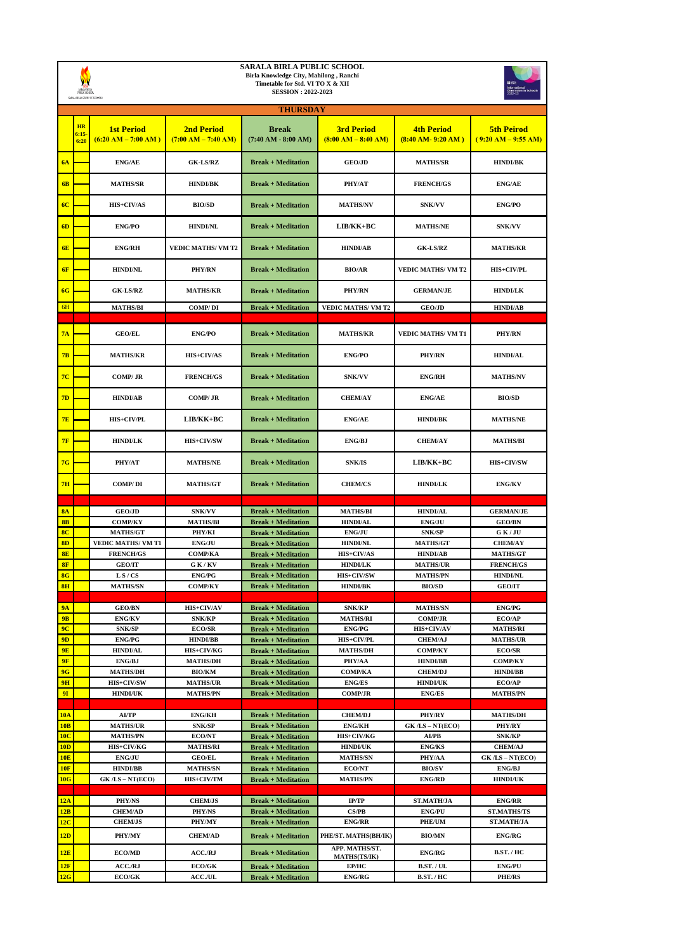| <b>SARALA BIRLA PUBLIC SCHOOL</b><br>Birla Knowledge City, Mahilong, Ranchi<br>Timetable for Std. VI TO X & XII<br>SARALA BIRLA<br>FUBLIC SCHOOL<br><b>SESSION: 2022-2023</b> |                               |                                            |                                            |                                                          |                                            |                                             |                                            |  |
|-------------------------------------------------------------------------------------------------------------------------------------------------------------------------------|-------------------------------|--------------------------------------------|--------------------------------------------|----------------------------------------------------------|--------------------------------------------|---------------------------------------------|--------------------------------------------|--|
|                                                                                                                                                                               | SARALA BIBLA GROUP OF SCHOOLS |                                            |                                            |                                                          |                                            |                                             |                                            |  |
|                                                                                                                                                                               | HR<br>6:15<br>6:20            | <b>1st Period</b><br>$(6:20 AM - 7:00 AM)$ | <b>2nd Period</b><br>$(7:00 AM - 7:40 AM)$ | <b>THURSDAY</b><br><b>Break</b><br>$(7:40 AM - 8:00 AM)$ | <b>3rd Period</b><br>$(8:00 AM - 8:40 AM)$ | <b>4th Period</b><br>$(8:40$ AM- $9:20$ AM) | <b>5th Peirod</b><br>$(9:20 AM - 9:55 AM)$ |  |
| <b>6A</b>                                                                                                                                                                     |                               | ${\bf ENG/AE}$                             | <b>GK-LS/RZ</b>                            | <b>Break + Meditation</b>                                | <b>GEO/JD</b>                              | <b>MATHS/SR</b>                             | <b>HINDI/BK</b>                            |  |
| 6 <b>B</b>                                                                                                                                                                    |                               | <b>MATHS/SR</b>                            | <b>HINDI/BK</b>                            | <b>Break + Meditation</b>                                | PHY/AT                                     | <b>FRENCH/GS</b>                            | <b>ENG/AE</b>                              |  |
| 6C                                                                                                                                                                            |                               | <b>HIS+CIV/AS</b>                          | <b>BIO/SD</b>                              | <b>Break + Meditation</b>                                | <b>MATHS/NV</b>                            | <b>SNK/VV</b>                               | <b>ENG/PO</b>                              |  |
| 6D                                                                                                                                                                            |                               | <b>ENG/PO</b>                              | <b>HINDI/NL</b>                            | <b>Break + Meditation</b>                                | $LIB/KK+BC$                                | <b>MATHS/NE</b>                             | <b>SNK/VV</b>                              |  |
| <b>6E</b>                                                                                                                                                                     |                               | <b>ENG/RH</b>                              | <b>VEDIC MATHS/ VM T2</b>                  | <b>Break + Meditation</b>                                | <b>HINDI/AB</b>                            | <b>GK-LS/RZ</b>                             | <b>MATHS/KR</b>                            |  |
| 6F                                                                                                                                                                            |                               | <b>HINDI/NL</b>                            | PHY/RN                                     | <b>Break + Meditation</b>                                | <b>BIO/AR</b>                              | <b>VEDIC MATHS/ VM T2</b>                   | <b>HIS+CIV/PL</b>                          |  |
| 6G                                                                                                                                                                            |                               | <b>GK-LS/RZ</b>                            | <b>MATHS/KR</b>                            | <b>Break + Meditation</b>                                | PHY/RN                                     | <b>GERMAN/JE</b>                            | <b>HINDI/LK</b>                            |  |
| 6H                                                                                                                                                                            |                               | <b>MATHS/BI</b>                            | <b>COMP/DI</b>                             | <b>Break + Meditation</b>                                | <b>VEDIC MATHS/ VM T2</b>                  | <b>GEO/JD</b>                               | <b>HINDI/AB</b>                            |  |
| <b>7A</b>                                                                                                                                                                     |                               | <b>GEO/EL</b>                              | <b>ENG/PO</b>                              | <b>Break + Meditation</b>                                | <b>MATHS/KR</b>                            | <b>VEDIC MATHS/ VM T1</b>                   | PHY/RN                                     |  |
| 7B                                                                                                                                                                            |                               | <b>MATHS/KR</b>                            | <b>HIS+CIV/AS</b>                          | <b>Break + Meditation</b>                                | <b>ENG/PO</b>                              | PHY/RN                                      | <b>HINDI/AL</b>                            |  |
| 7 <sub>C</sub>                                                                                                                                                                |                               | <b>COMP/JR</b>                             | <b>FRENCH/GS</b>                           | <b>Break + Meditation</b>                                | <b>SNK/VV</b>                              | <b>ENG/RH</b>                               | <b>MATHS/NV</b>                            |  |
| 7D                                                                                                                                                                            |                               | <b>HINDI/AB</b>                            | <b>COMP/JR</b>                             | <b>Break + Meditation</b>                                | <b>CHEM/AY</b>                             | <b>ENG/AE</b>                               | <b>BIO/SD</b>                              |  |
| 7E                                                                                                                                                                            |                               | <b>HIS+CIV/PL</b>                          | $LIB/KK+BC$                                | <b>Break + Meditation</b>                                | <b>ENG/AE</b>                              | <b>HINDI/BK</b>                             | <b>MATHS/NE</b>                            |  |
| 7F                                                                                                                                                                            |                               | <b>HINDI/LK</b>                            | HIS+CIV/SW                                 | <b>Break + Meditation</b>                                | ENG/BJ                                     | <b>CHEM/AY</b>                              | <b>MATHS/BI</b>                            |  |
| 7 <sub>G</sub>                                                                                                                                                                |                               | PHY/AT                                     | <b>MATHS/NE</b>                            | <b>Break + Meditation</b>                                | SNK/IS                                     | $LIB/KK+BC$                                 | HIS+CIV/SW                                 |  |
| 7H                                                                                                                                                                            |                               | <b>COMP/DI</b>                             | <b>MATHS/GT</b>                            | <b>Break + Meditation</b>                                | <b>CHEM/CS</b>                             | <b>HINDI/LK</b>                             | <b>ENG/KV</b>                              |  |
|                                                                                                                                                                               |                               |                                            |                                            |                                                          |                                            |                                             |                                            |  |
| <b>8A</b><br>8B                                                                                                                                                               |                               | <b>GEO/JD</b><br><b>COMP/KY</b>            | <b>SNK/VV</b><br><b>MATHS/BI</b>           | <b>Break + Meditation</b><br><b>Break + Meditation</b>   | <b>MATHS/BI</b><br><b>HINDI/AL</b>         | <b>HINDI/AL</b><br>ENG/JU                   | <b>GERMAN/JE</b><br><b>GEO/BN</b>          |  |
| 8 <sup>C</sup>                                                                                                                                                                |                               | <b>MATHS/GT</b>                            | PHY/KI                                     | <b>Break + Meditation</b>                                | <b>ENG/JU</b>                              | <b>SNK/SP</b>                               | G K / JU                                   |  |
| 8D                                                                                                                                                                            |                               | <b>VEDIC MATHS/ VM T1</b>                  | <b>ENG/JU</b>                              | <b>Break + Meditation</b>                                | <b>HINDI/NL</b>                            | <b>MATHS/GT</b>                             | <b>CHEM/AY</b>                             |  |
| 8E<br>8F                                                                                                                                                                      |                               | <b>FRENCH/GS</b><br><b>GEO/IT</b>          | <b>COMP/KA</b><br>G K/KV                   | <b>Break + Meditation</b><br><b>Break + Meditation</b>   | HIS+CIV/AS<br><b>HINDI/LK</b>              | <b>HINDI/AB</b><br><b>MATHS/UR</b>          | <b>MATHS/GT</b><br><b>FRENCH/GS</b>        |  |
| 8G                                                                                                                                                                            |                               | L S / CS                                   | <b>ENG/PG</b>                              | <b>Break + Meditation</b>                                | HIS+CIV/SW                                 | <b>MATHS/PN</b>                             | <b>HINDI/NL</b>                            |  |
| 8H                                                                                                                                                                            |                               | <b>MATHS/SN</b>                            | <b>COMP/KY</b>                             | <b>Break + Meditation</b>                                | <b>HINDI/BK</b>                            | <b>BIO/SD</b>                               | <b>GEO/IT</b>                              |  |
| <b>9A</b>                                                                                                                                                                     |                               | <b>GEO/BN</b>                              | <b>HIS+CIV/AV</b>                          | <b>Break + Meditation</b>                                | <b>SNK/KP</b>                              | <b>MATHS/SN</b>                             | <b>ENG/PG</b>                              |  |
| 9B                                                                                                                                                                            |                               | <b>ENG/KV</b>                              | <b>SNK/KP</b>                              | <b>Break + Meditation</b>                                | <b>MATHS/RI</b>                            | <b>COMP/JR</b>                              | ECO/AP                                     |  |
| 9 <sub>C</sub>                                                                                                                                                                |                               | <b>SNK/SP</b>                              | <b>ECO/SR</b>                              | <b>Break + Meditation</b>                                | <b>ENG/PG</b>                              | <b>HIS+CIV/AV</b>                           | <b>MATHS/RI</b>                            |  |
| 9D<br>9E                                                                                                                                                                      |                               | <b>ENG/PG</b><br><b>HINDI/AL</b>           | <b>HINDI/BB</b><br>HIS+CIV/KG              | <b>Break + Meditation</b><br><b>Break + Meditation</b>   | <b>HIS+CIV/PL</b><br><b>MATHS/DH</b>       | <b>CHEM/AJ</b><br><b>COMP/KY</b>            | <b>MATHS/UR</b><br><b>ECO/SR</b>           |  |
| 9F                                                                                                                                                                            |                               | ENG/BJ                                     | <b>MATHS/DH</b>                            | <b>Break + Meditation</b>                                | PHY/AA                                     | <b>HINDI/BB</b>                             | <b>COMP/KY</b>                             |  |
| 9G                                                                                                                                                                            |                               | <b>MATHS/DH</b>                            | <b>BIO/KM</b>                              | <b>Break + Meditation</b>                                | <b>COMP/KA</b>                             | <b>CHEM/DJ</b>                              | <b>HINDI/BB</b>                            |  |
| 9H<br>9I                                                                                                                                                                      |                               | HIS+CIV/SW<br><b>HINDI/UK</b>              | <b>MATHS/UR</b><br><b>MATHS/PN</b>         | <b>Break + Meditation</b><br><b>Break + Meditation</b>   | <b>ENG/ES</b><br><b>COMP/JR</b>            | <b>HINDI/UK</b><br><b>ENG/ES</b>            | ECO/AP<br><b>MATHS/PN</b>                  |  |
|                                                                                                                                                                               |                               |                                            |                                            |                                                          |                                            |                                             |                                            |  |
| 10A                                                                                                                                                                           |                               | AI/TP                                      | <b>ENG/KH</b>                              | <b>Break + Meditation</b>                                | <b>CHEM/DJ</b>                             | PHY/RY                                      | <b>MATHS/DH</b>                            |  |
| 10B<br>10 <sub>C</sub>                                                                                                                                                        |                               | <b>MATHS/UR</b><br><b>MATHS/PN</b>         | <b>SNK/SP</b><br><b>ECO/NT</b>             | <b>Break + Meditation</b><br><b>Break + Meditation</b>   | <b>ENG/KH</b><br>HIS+CIV/KG                | <b>GK/LS – NT(ECO)</b><br>AI/PB             | <b>PHY/RY</b><br><b>SNK/KP</b>             |  |
| 10D                                                                                                                                                                           |                               | HIS+CIV/KG                                 | <b>MATHS/RI</b>                            | <b>Break + Meditation</b>                                | <b>HINDI/UK</b>                            | <b>ENG/KS</b>                               | <b>CHEM/AJ</b>                             |  |
| 10E                                                                                                                                                                           |                               | <b>ENG/JU</b>                              | <b>GEO/EL</b>                              | <b>Break + Meditation</b>                                | <b>MATHS/SN</b>                            | PHY/AA                                      | <b>GK/LS – NT(ECO)</b>                     |  |
| 10F<br>10G                                                                                                                                                                    |                               | <b>HINDI/BB</b><br><b>GK/LS – NT(ECO)</b>  | <b>MATHS/SN</b><br>HIS+CIV/TM              | <b>Break + Meditation</b><br><b>Break + Meditation</b>   | <b>ECO/NT</b><br><b>MATHS/PN</b>           | <b>BIO/SV</b><br><b>ENG/RD</b>              | ENG/BJ<br><b>HINDI/UK</b>                  |  |
|                                                                                                                                                                               |                               |                                            |                                            |                                                          |                                            |                                             |                                            |  |
| 12A                                                                                                                                                                           |                               | PHY/NS                                     | <b>CHEM/JS</b>                             | <b>Break + Meditation</b>                                | <b>IP/TP</b>                               | <b>ST.MATH/JA</b>                           | <b>ENG/RR</b>                              |  |
| 12B<br>12C                                                                                                                                                                    |                               | <b>CHEM/AD</b><br><b>CHEM/JS</b>           | PHY/NS<br>PHY/MY                           | <b>Break + Meditation</b><br><b>Break + Meditation</b>   | CS/PB<br><b>ENG/RR</b>                     | <b>ENG/PU</b><br>PHE/UM                     | <b>ST.MATHS/TS</b><br><b>ST.MATH/JA</b>    |  |
| 12D                                                                                                                                                                           |                               | PHY/MY                                     | <b>CHEM/AD</b>                             | <b>Break + Meditation</b>                                | PHE/ST. MATHS(BH/IK)                       | <b>BIO/MN</b>                               | <b>ENG/RG</b>                              |  |
| 12E                                                                                                                                                                           |                               | <b>ECO/MD</b>                              | ACC/RJ                                     | <b>Break + Meditation</b>                                | APP. MATHS/ST.<br><b>MATHS(TS/IK)</b>      | <b>ENG/RG</b>                               | <b>B.ST. / HC</b>                          |  |
| 12F<br>12G                                                                                                                                                                    |                               | ACC/RI<br>ECO/GK                           | ECO/GK<br><b>ACC./UL</b>                   | <b>Break + Meditation</b><br><b>Break + Meditation</b>   | EP/HC<br><b>ENG/RG</b>                     | <b>B.ST. / UL</b><br><b>B.ST. / HC</b>      | <b>ENG/PU</b><br>PHE/RS                    |  |